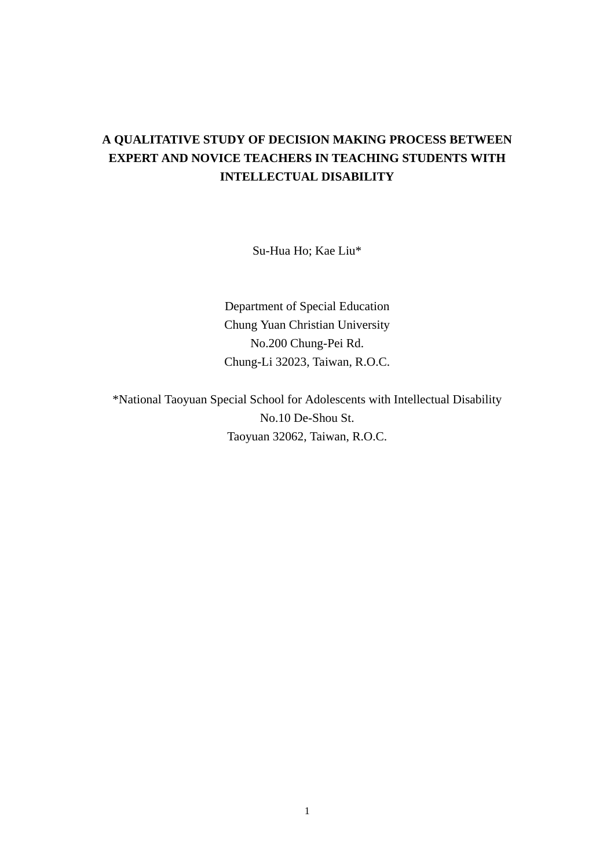# **A QUALITATIVE STUDY OF DECISION MAKING PROCESS BETWEEN EXPERT AND NOVICE TEACHERS IN TEACHING STUDENTS WITH INTELLECTUAL DISABILITY**

Su-Hua Ho; Kae Liu\*

Department of Special Education Chung Yuan Christian University No.200 Chung-Pei Rd. Chung-Li 32023, Taiwan, R.O.C.

\*National Taoyuan Special School for Adolescents with Intellectual Disability No.10 De-Shou St. Taoyuan 32062, Taiwan, R.O.C.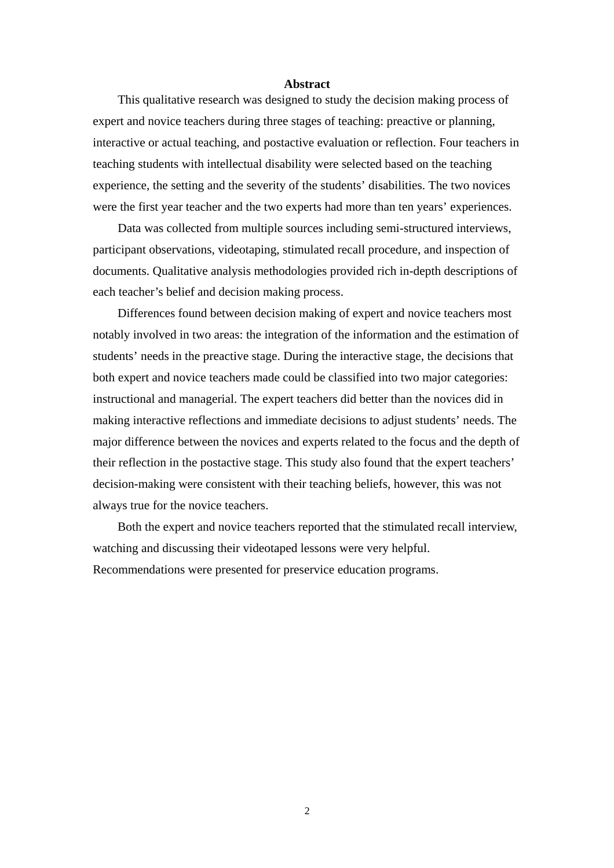#### **Abstract**

This qualitative research was designed to study the decision making process of expert and novice teachers during three stages of teaching: preactive or planning, interactive or actual teaching, and postactive evaluation or reflection. Four teachers in teaching students with intellectual disability were selected based on the teaching experience, the setting and the severity of the students' disabilities. The two novices were the first year teacher and the two experts had more than ten years' experiences.

Data was collected from multiple sources including semi-structured interviews, participant observations, videotaping, stimulated recall procedure, and inspection of documents. Qualitative analysis methodologies provided rich in-depth descriptions of each teacher's belief and decision making process.

Differences found between decision making of expert and novice teachers most notably involved in two areas: the integration of the information and the estimation of students' needs in the preactive stage. During the interactive stage, the decisions that both expert and novice teachers made could be classified into two major categories: instructional and managerial. The expert teachers did better than the novices did in making interactive reflections and immediate decisions to adjust students' needs. The major difference between the novices and experts related to the focus and the depth of their reflection in the postactive stage. This study also found that the expert teachers' decision-making were consistent with their teaching beliefs, however, this was not always true for the novice teachers.

Both the expert and novice teachers reported that the stimulated recall interview, watching and discussing their videotaped lessons were very helpful. Recommendations were presented for preservice education programs.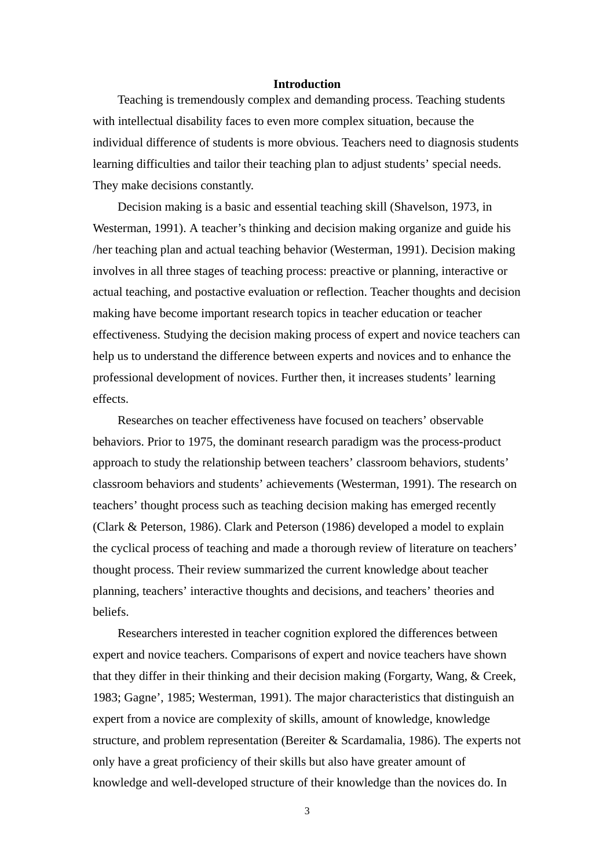# **Introduction**

Teaching is tremendously complex and demanding process. Teaching students with intellectual disability faces to even more complex situation, because the individual difference of students is more obvious. Teachers need to diagnosis students learning difficulties and tailor their teaching plan to adjust students' special needs. They make decisions constantly.

Decision making is a basic and essential teaching skill (Shavelson, 1973, in Westerman, 1991). A teacher's thinking and decision making organize and guide his /her teaching plan and actual teaching behavior (Westerman, 1991). Decision making involves in all three stages of teaching process: preactive or planning, interactive or actual teaching, and postactive evaluation or reflection. Teacher thoughts and decision making have become important research topics in teacher education or teacher effectiveness. Studying the decision making process of expert and novice teachers can help us to understand the difference between experts and novices and to enhance the professional development of novices. Further then, it increases students' learning effects.

Researches on teacher effectiveness have focused on teachers' observable behaviors. Prior to 1975, the dominant research paradigm was the process-product approach to study the relationship between teachers' classroom behaviors, students' classroom behaviors and students' achievements (Westerman, 1991). The research on teachers' thought process such as teaching decision making has emerged recently (Clark & Peterson, 1986). Clark and Peterson (1986) developed a model to explain the cyclical process of teaching and made a thorough review of literature on teachers' thought process. Their review summarized the current knowledge about teacher planning, teachers' interactive thoughts and decisions, and teachers' theories and beliefs.

Researchers interested in teacher cognition explored the differences between expert and novice teachers. Comparisons of expert and novice teachers have shown that they differ in their thinking and their decision making (Forgarty, Wang, & Creek, 1983; Gagne', 1985; Westerman, 1991). The major characteristics that distinguish an expert from a novice are complexity of skills, amount of knowledge, knowledge structure, and problem representation (Bereiter & Scardamalia, 1986). The experts not only have a great proficiency of their skills but also have greater amount of knowledge and well-developed structure of their knowledge than the novices do. In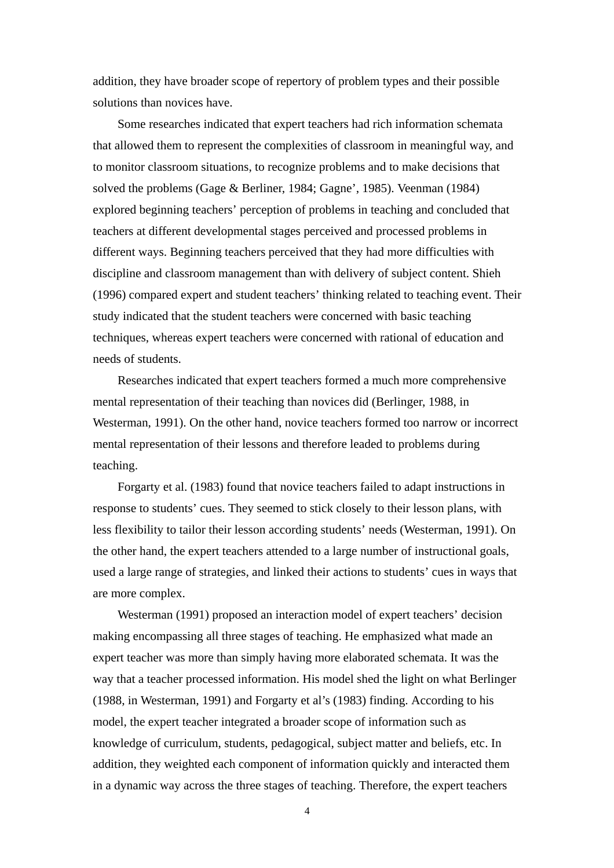addition, they have broader scope of repertory of problem types and their possible solutions than novices have.

Some researches indicated that expert teachers had rich information schemata that allowed them to represent the complexities of classroom in meaningful way, and to monitor classroom situations, to recognize problems and to make decisions that solved the problems (Gage & Berliner, 1984; Gagne', 1985). Veenman (1984) explored beginning teachers' perception of problems in teaching and concluded that teachers at different developmental stages perceived and processed problems in different ways. Beginning teachers perceived that they had more difficulties with discipline and classroom management than with delivery of subject content. Shieh (1996) compared expert and student teachers' thinking related to teaching event. Their study indicated that the student teachers were concerned with basic teaching techniques, whereas expert teachers were concerned with rational of education and needs of students.

Researches indicated that expert teachers formed a much more comprehensive mental representation of their teaching than novices did (Berlinger, 1988, in Westerman, 1991). On the other hand, novice teachers formed too narrow or incorrect mental representation of their lessons and therefore leaded to problems during teaching.

Forgarty et al. (1983) found that novice teachers failed to adapt instructions in response to students' cues. They seemed to stick closely to their lesson plans, with less flexibility to tailor their lesson according students' needs (Westerman, 1991). On the other hand, the expert teachers attended to a large number of instructional goals, used a large range of strategies, and linked their actions to students' cues in ways that are more complex.

Westerman (1991) proposed an interaction model of expert teachers' decision making encompassing all three stages of teaching. He emphasized what made an expert teacher was more than simply having more elaborated schemata. It was the way that a teacher processed information. His model shed the light on what Berlinger (1988, in Westerman, 1991) and Forgarty et al's (1983) finding. According to his model, the expert teacher integrated a broader scope of information such as knowledge of curriculum, students, pedagogical, subject matter and beliefs, etc. In addition, they weighted each component of information quickly and interacted them in a dynamic way across the three stages of teaching. Therefore, the expert teachers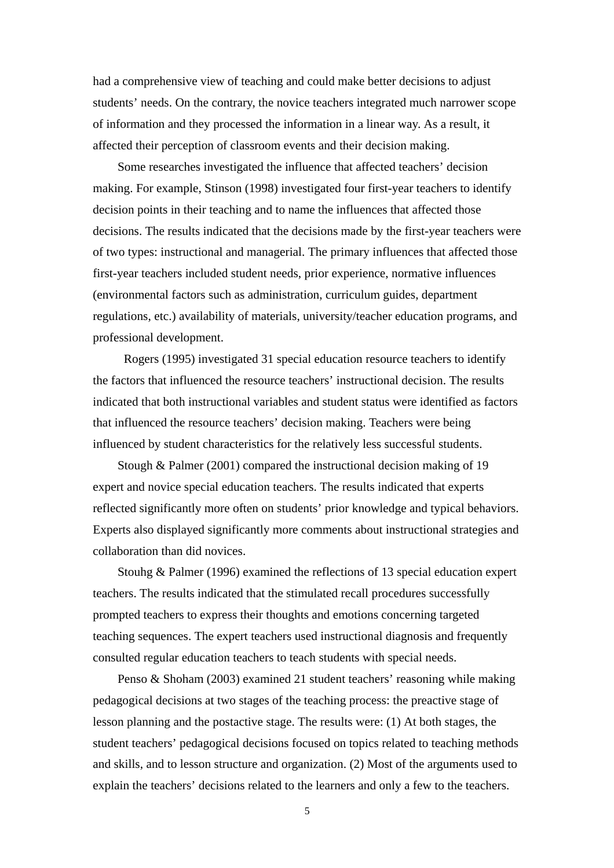had a comprehensive view of teaching and could make better decisions to adjust students' needs. On the contrary, the novice teachers integrated much narrower scope of information and they processed the information in a linear way. As a result, it affected their perception of classroom events and their decision making.

Some researches investigated the influence that affected teachers' decision making. For example, Stinson (1998) investigated four first-year teachers to identify decision points in their teaching and to name the influences that affected those decisions. The results indicated that the decisions made by the first-year teachers were of two types: instructional and managerial. The primary influences that affected those first-year teachers included student needs, prior experience, normative influences (environmental factors such as administration, curriculum guides, department regulations, etc.) availability of materials, university/teacher education programs, and professional development.

Rogers (1995) investigated 31 special education resource teachers to identify the factors that influenced the resource teachers' instructional decision. The results indicated that both instructional variables and student status were identified as factors that influenced the resource teachers' decision making. Teachers were being influenced by student characteristics for the relatively less successful students.

Stough & Palmer (2001) compared the instructional decision making of 19 expert and novice special education teachers. The results indicated that experts reflected significantly more often on students' prior knowledge and typical behaviors. Experts also displayed significantly more comments about instructional strategies and collaboration than did novices.

Stouhg & Palmer (1996) examined the reflections of 13 special education expert teachers. The results indicated that the stimulated recall procedures successfully prompted teachers to express their thoughts and emotions concerning targeted teaching sequences. The expert teachers used instructional diagnosis and frequently consulted regular education teachers to teach students with special needs.

Penso & Shoham (2003) examined 21 student teachers' reasoning while making pedagogical decisions at two stages of the teaching process: the preactive stage of lesson planning and the postactive stage. The results were: (1) At both stages, the student teachers' pedagogical decisions focused on topics related to teaching methods and skills, and to lesson structure and organization. (2) Most of the arguments used to explain the teachers' decisions related to the learners and only a few to the teachers.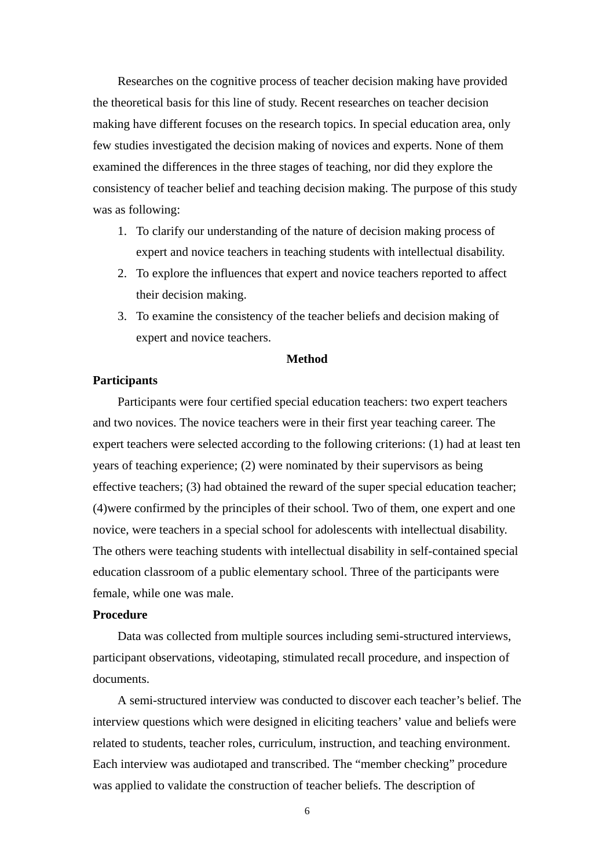Researches on the cognitive process of teacher decision making have provided the theoretical basis for this line of study. Recent researches on teacher decision making have different focuses on the research topics. In special education area, only few studies investigated the decision making of novices and experts. None of them examined the differences in the three stages of teaching, nor did they explore the consistency of teacher belief and teaching decision making. The purpose of this study was as following:

- 1. To clarify our understanding of the nature of decision making process of expert and novice teachers in teaching students with intellectual disability.
- 2. To explore the influences that expert and novice teachers reported to affect their decision making.
- 3. To examine the consistency of the teacher beliefs and decision making of expert and novice teachers.

## **Method**

# **Participants**

Participants were four certified special education teachers: two expert teachers and two novices. The novice teachers were in their first year teaching career. The expert teachers were selected according to the following criterions: (1) had at least ten years of teaching experience; (2) were nominated by their supervisors as being effective teachers; (3) had obtained the reward of the super special education teacher; (4)were confirmed by the principles of their school. Two of them, one expert and one novice, were teachers in a special school for adolescents with intellectual disability. The others were teaching students with intellectual disability in self-contained special education classroom of a public elementary school. Three of the participants were female, while one was male.

# **Procedure**

Data was collected from multiple sources including semi-structured interviews, participant observations, videotaping, stimulated recall procedure, and inspection of documents.

A semi-structured interview was conducted to discover each teacher's belief. The interview questions which were designed in eliciting teachers' value and beliefs were related to students, teacher roles, curriculum, instruction, and teaching environment. Each interview was audiotaped and transcribed. The "member checking" procedure was applied to validate the construction of teacher beliefs. The description of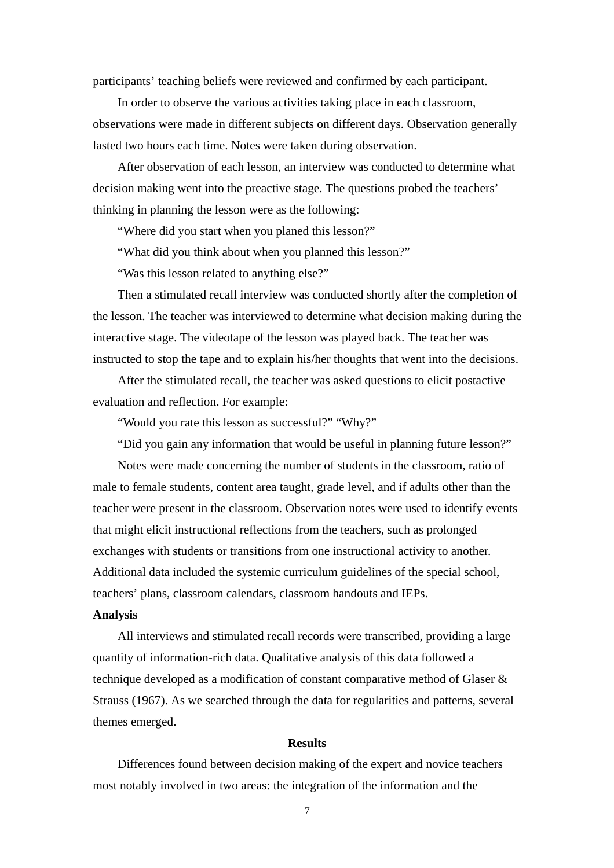participants' teaching beliefs were reviewed and confirmed by each participant.

In order to observe the various activities taking place in each classroom, observations were made in different subjects on different days. Observation generally lasted two hours each time. Notes were taken during observation.

After observation of each lesson, an interview was conducted to determine what decision making went into the preactive stage. The questions probed the teachers' thinking in planning the lesson were as the following:

"Where did you start when you planed this lesson?"

"What did you think about when you planned this lesson?"

"Was this lesson related to anything else?"

Then a stimulated recall interview was conducted shortly after the completion of the lesson. The teacher was interviewed to determine what decision making during the interactive stage. The videotape of the lesson was played back. The teacher was instructed to stop the tape and to explain his/her thoughts that went into the decisions.

After the stimulated recall, the teacher was asked questions to elicit postactive evaluation and reflection. For example:

"Would you rate this lesson as successful?" "Why?"

"Did you gain any information that would be useful in planning future lesson?"

Notes were made concerning the number of students in the classroom, ratio of male to female students, content area taught, grade level, and if adults other than the teacher were present in the classroom. Observation notes were used to identify events that might elicit instructional reflections from the teachers, such as prolonged exchanges with students or transitions from one instructional activity to another. Additional data included the systemic curriculum guidelines of the special school, teachers' plans, classroom calendars, classroom handouts and IEPs.

# **Analysis**

All interviews and stimulated recall records were transcribed, providing a large quantity of information-rich data. Qualitative analysis of this data followed a technique developed as a modification of constant comparative method of Glaser & Strauss (1967). As we searched through the data for regularities and patterns, several themes emerged.

#### **Results**

Differences found between decision making of the expert and novice teachers most notably involved in two areas: the integration of the information and the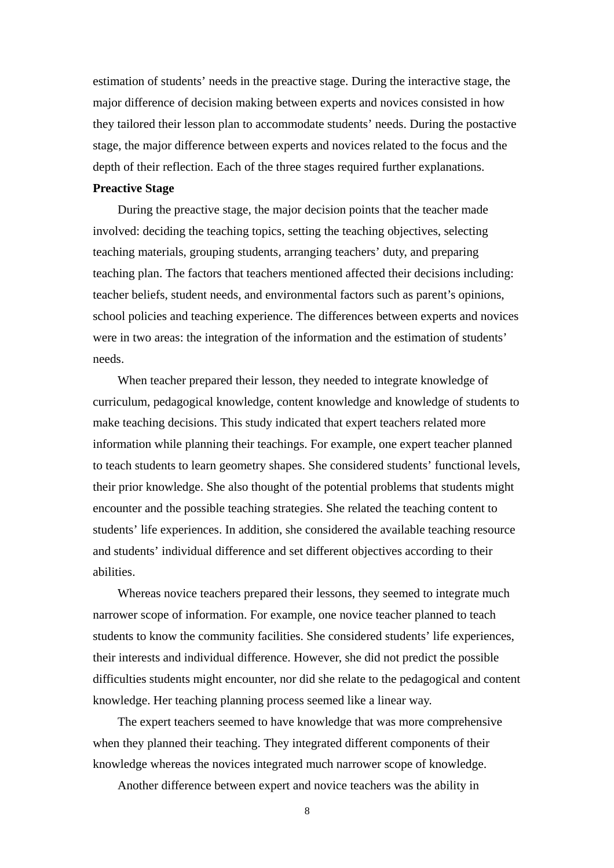estimation of students' needs in the preactive stage. During the interactive stage, the major difference of decision making between experts and novices consisted in how they tailored their lesson plan to accommodate students' needs. During the postactive stage, the major difference between experts and novices related to the focus and the depth of their reflection. Each of the three stages required further explanations.

# **Preactive Stage**

During the preactive stage, the major decision points that the teacher made involved: deciding the teaching topics, setting the teaching objectives, selecting teaching materials, grouping students, arranging teachers' duty, and preparing teaching plan. The factors that teachers mentioned affected their decisions including: teacher beliefs, student needs, and environmental factors such as parent's opinions, school policies and teaching experience. The differences between experts and novices were in two areas: the integration of the information and the estimation of students' needs.

When teacher prepared their lesson, they needed to integrate knowledge of curriculum, pedagogical knowledge, content knowledge and knowledge of students to make teaching decisions. This study indicated that expert teachers related more information while planning their teachings. For example, one expert teacher planned to teach students to learn geometry shapes. She considered students' functional levels, their prior knowledge. She also thought of the potential problems that students might encounter and the possible teaching strategies. She related the teaching content to students' life experiences. In addition, she considered the available teaching resource and students' individual difference and set different objectives according to their abilities.

Whereas novice teachers prepared their lessons, they seemed to integrate much narrower scope of information. For example, one novice teacher planned to teach students to know the community facilities. She considered students' life experiences, their interests and individual difference. However, she did not predict the possible difficulties students might encounter, nor did she relate to the pedagogical and content knowledge. Her teaching planning process seemed like a linear way.

The expert teachers seemed to have knowledge that was more comprehensive when they planned their teaching. They integrated different components of their knowledge whereas the novices integrated much narrower scope of knowledge.

Another difference between expert and novice teachers was the ability in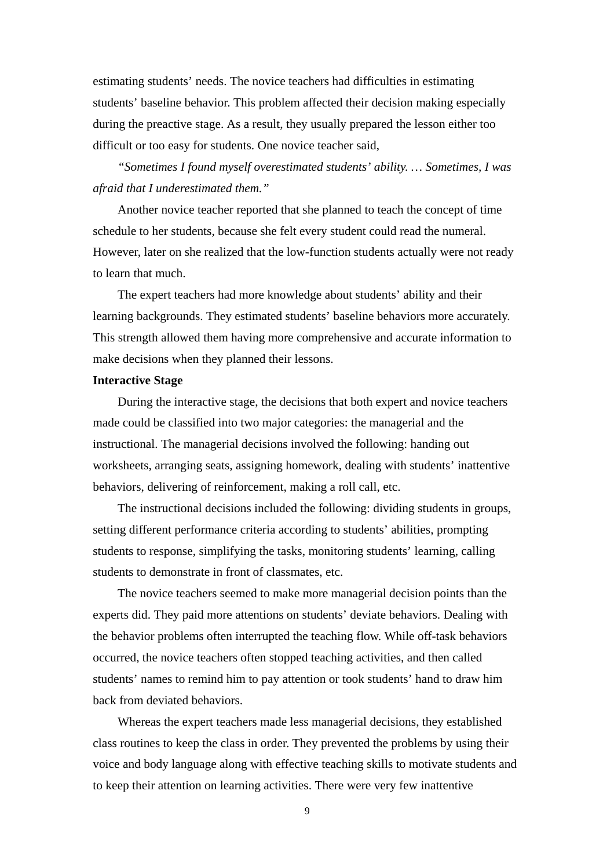estimating students' needs. The novice teachers had difficulties in estimating students' baseline behavior. This problem affected their decision making especially during the preactive stage. As a result, they usually prepared the lesson either too difficult or too easy for students. One novice teacher said,

*"Sometimes I found myself overestimated students' ability. … Sometimes, I was afraid that I underestimated them."* 

Another novice teacher reported that she planned to teach the concept of time schedule to her students, because she felt every student could read the numeral. However, later on she realized that the low-function students actually were not ready to learn that much.

The expert teachers had more knowledge about students' ability and their learning backgrounds. They estimated students' baseline behaviors more accurately. This strength allowed them having more comprehensive and accurate information to make decisions when they planned their lessons.

## **Interactive Stage**

During the interactive stage, the decisions that both expert and novice teachers made could be classified into two major categories: the managerial and the instructional. The managerial decisions involved the following: handing out worksheets, arranging seats, assigning homework, dealing with students' inattentive behaviors, delivering of reinforcement, making a roll call, etc.

The instructional decisions included the following: dividing students in groups, setting different performance criteria according to students' abilities, prompting students to response, simplifying the tasks, monitoring students' learning, calling students to demonstrate in front of classmates, etc.

The novice teachers seemed to make more managerial decision points than the experts did. They paid more attentions on students' deviate behaviors. Dealing with the behavior problems often interrupted the teaching flow. While off-task behaviors occurred, the novice teachers often stopped teaching activities, and then called students' names to remind him to pay attention or took students' hand to draw him back from deviated behaviors.

Whereas the expert teachers made less managerial decisions, they established class routines to keep the class in order. They prevented the problems by using their voice and body language along with effective teaching skills to motivate students and to keep their attention on learning activities. There were very few inattentive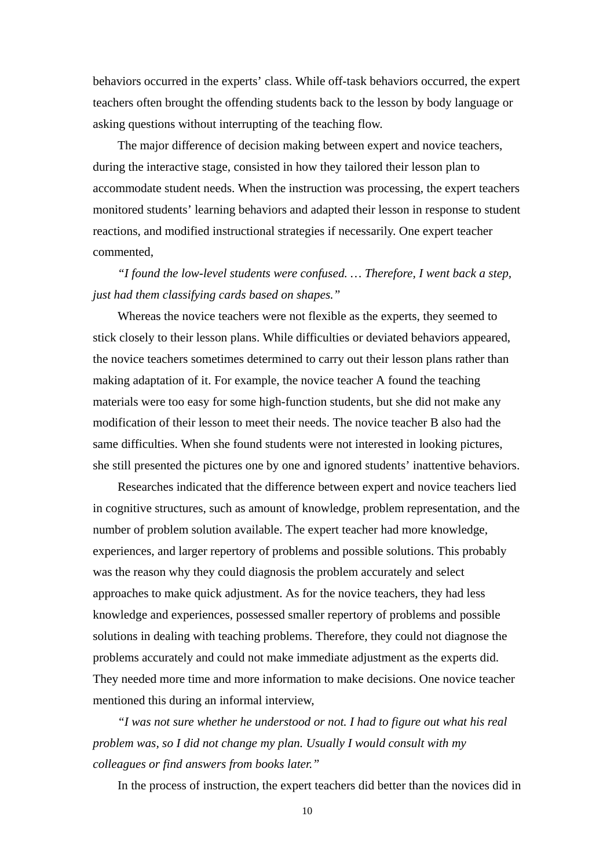behaviors occurred in the experts' class. While off-task behaviors occurred, the expert teachers often brought the offending students back to the lesson by body language or asking questions without interrupting of the teaching flow.

The major difference of decision making between expert and novice teachers, during the interactive stage, consisted in how they tailored their lesson plan to accommodate student needs. When the instruction was processing, the expert teachers monitored students' learning behaviors and adapted their lesson in response to student reactions, and modified instructional strategies if necessarily. One expert teacher commented,

*"I found the low-level students were confused. … Therefore, I went back a step, just had them classifying cards based on shapes."* 

Whereas the novice teachers were not flexible as the experts, they seemed to stick closely to their lesson plans. While difficulties or deviated behaviors appeared, the novice teachers sometimes determined to carry out their lesson plans rather than making adaptation of it. For example, the novice teacher A found the teaching materials were too easy for some high-function students, but she did not make any modification of their lesson to meet their needs. The novice teacher B also had the same difficulties. When she found students were not interested in looking pictures, she still presented the pictures one by one and ignored students' inattentive behaviors.

Researches indicated that the difference between expert and novice teachers lied in cognitive structures, such as amount of knowledge, problem representation, and the number of problem solution available. The expert teacher had more knowledge, experiences, and larger repertory of problems and possible solutions. This probably was the reason why they could diagnosis the problem accurately and select approaches to make quick adjustment. As for the novice teachers, they had less knowledge and experiences, possessed smaller repertory of problems and possible solutions in dealing with teaching problems. Therefore, they could not diagnose the problems accurately and could not make immediate adjustment as the experts did. They needed more time and more information to make decisions. One novice teacher mentioned this during an informal interview,

*"I was not sure whether he understood or not. I had to figure out what his real problem was, so I did not change my plan. Usually I would consult with my colleagues or find answers from books later."* 

In the process of instruction, the expert teachers did better than the novices did in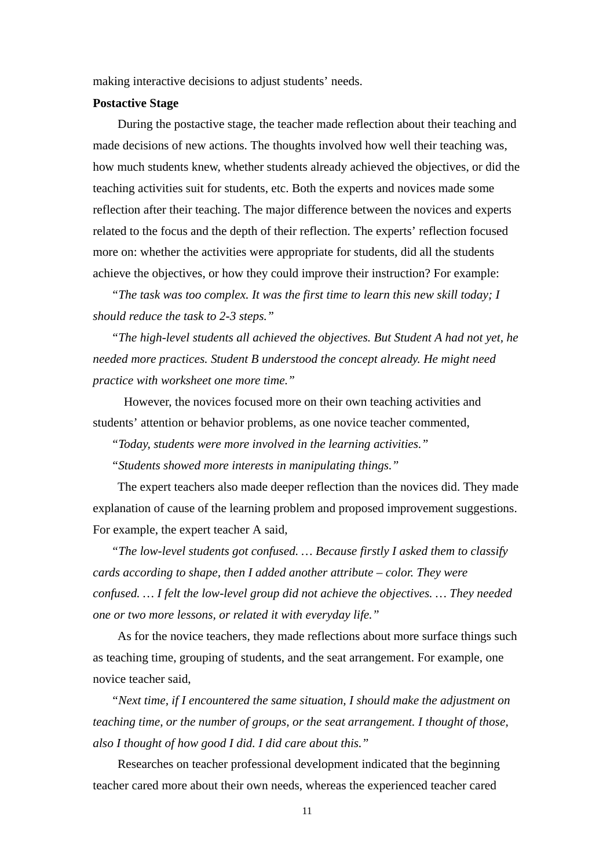making interactive decisions to adjust students' needs.

#### **Postactive Stage**

During the postactive stage, the teacher made reflection about their teaching and made decisions of new actions. The thoughts involved how well their teaching was, how much students knew, whether students already achieved the objectives, or did the teaching activities suit for students, etc. Both the experts and novices made some reflection after their teaching. The major difference between the novices and experts related to the focus and the depth of their reflection. The experts' reflection focused more on: whether the activities were appropriate for students, did all the students achieve the objectives, or how they could improve their instruction? For example:

*" The task was too complex. It was the first time to learn this new skill today; I should reduce the task to 2-3 steps."* 

*"The high-level students all achieved the objectives. But Student A had not yet, he needed more practices. Student B understood the concept already. He might need practice with worksheet one more time."* 

However, the novices focused more on their own teaching activities and students' attention or behavior problems, as one novice teacher commented,

*" Today, students were more involved in the learning activities."* 

*" Students showed more interests in manipulating things."* 

The expert teachers also made deeper reflection than the novices did. They made explanation of cause of the learning problem and proposed improvement suggestions. For example, the expert teacher A said,

*" The low-level students got confused. … Because firstly I asked them to classify cards according to shape, then I added another attribute – color. They were confused. … I felt the low-level group did not achieve the objectives. … They needed one or two more lessons, or related it with everyday life."* 

As for the novice teachers, they made reflections about more surface things such as teaching time, grouping of students, and the seat arrangement. For example, one novice teacher said,

*" Next time, if I encountered the same situation, I should make the adjustment on teaching time, or the number of groups, or the seat arrangement. I thought of those, also I thought of how good I did. I did care about this."* 

Researches on teacher professional development indicated that the beginning teacher cared more about their own needs, whereas the experienced teacher cared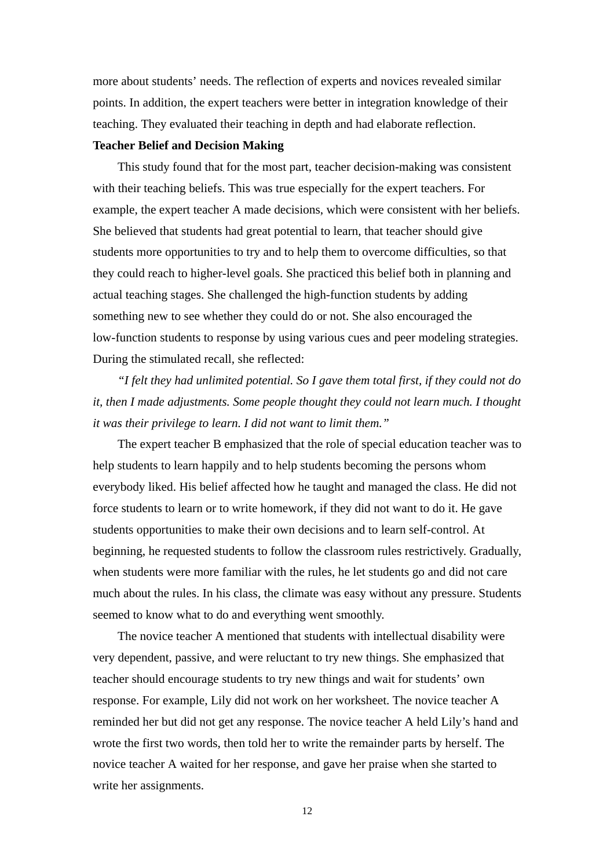more about students' needs. The reflection of experts and novices revealed similar points. In addition, the expert teachers were better in integration knowledge of their teaching. They evaluated their teaching in depth and had elaborate reflection.

# **Teacher Belief and Decision Making**

This study found that for the most part, teacher decision-making was consistent with their teaching beliefs. This was true especially for the expert teachers. For example, the expert teacher A made decisions, which were consistent with her beliefs. She believed that students had great potential to learn, that teacher should give students more opportunities to try and to help them to overcome difficulties, so that they could reach to higher-level goals. She practiced this belief both in planning and actual teaching stages. She challenged the high-function students by adding something new to see whether they could do or not. She also encouraged the low-function students to response by using various cues and peer modeling strategies. During the stimulated recall, she reflected:

*"I felt they had unlimited potential. So I gave them total first, if they could not do it, then I made adjustments. Some people thought they could not learn much. I thought it was their privilege to learn. I did not want to limit them."* 

The expert teacher B emphasized that the role of special education teacher was to help students to learn happily and to help students becoming the persons whom everybody liked. His belief affected how he taught and managed the class. He did not force students to learn or to write homework, if they did not want to do it. He gave students opportunities to make their own decisions and to learn self-control. At beginning, he requested students to follow the classroom rules restrictively. Gradually, when students were more familiar with the rules, he let students go and did not care much about the rules. In his class, the climate was easy without any pressure. Students seemed to know what to do and everything went smoothly.

The novice teacher A mentioned that students with intellectual disability were very dependent, passive, and were reluctant to try new things. She emphasized that teacher should encourage students to try new things and wait for students' own response. For example, Lily did not work on her worksheet. The novice teacher A reminded her but did not get any response. The novice teacher A held Lily's hand and wrote the first two words, then told her to write the remainder parts by herself. The novice teacher A waited for her response, and gave her praise when she started to write her assignments.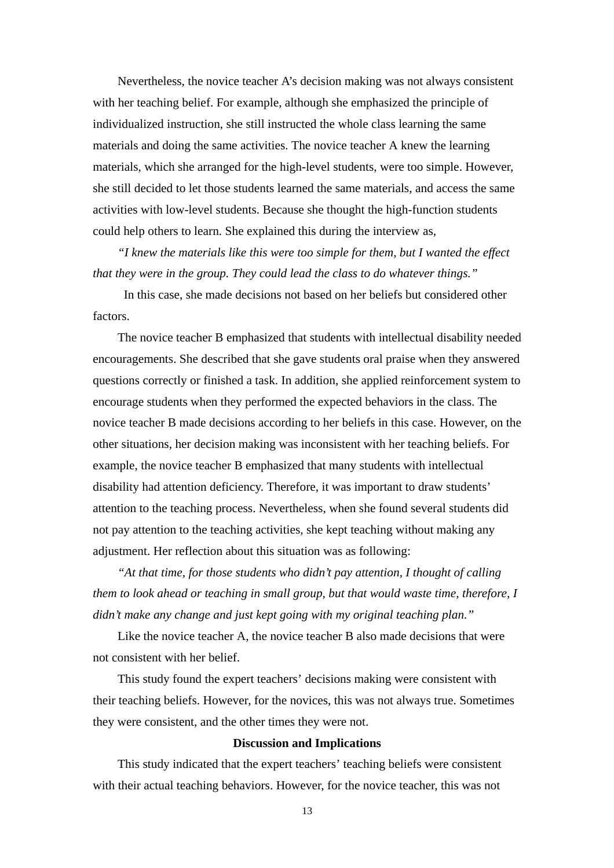Nevertheless, the novice teacher A's decision making was not always consistent with her teaching belief. For example, although she emphasized the principle of individualized instruction, she still instructed the whole class learning the same materials and doing the same activities. The novice teacher A knew the learning materials, which she arranged for the high-level students, were too simple. However, she still decided to let those students learned the same materials, and access the same activities with low-level students. Because she thought the high-function students could help others to learn. She explained this during the interview as,

*"I knew the materials like this were too simple for them, but I wanted the effect that they were in the group. They could lead the class to do whatever things."* 

In this case, she made decisions not based on her beliefs but considered other factors.

The novice teacher B emphasized that students with intellectual disability needed encouragements. She described that she gave students oral praise when they answered questions correctly or finished a task. In addition, she applied reinforcement system to encourage students when they performed the expected behaviors in the class. The novice teacher B made decisions according to her beliefs in this case. However, on the other situations, her decision making was inconsistent with her teaching beliefs. For example, the novice teacher B emphasized that many students with intellectual disability had attention deficiency. Therefore, it was important to draw students' attention to the teaching process. Nevertheless, when she found several students did not pay attention to the teaching activities, she kept teaching without making any adjustment. Her reflection about this situation was as following:

*"At that time, for those students who didn't pay attention, I thought of calling them to look ahead or teaching in small group, but that would waste time, therefore, I didn't make any change and just kept going with my original teaching plan."* 

Like the novice teacher A, the novice teacher B also made decisions that were not consistent with her belief.

This study found the expert teachers' decisions making were consistent with their teaching beliefs. However, for the novices, this was not always true. Sometimes they were consistent, and the other times they were not.

#### **Discussion and Implications**

This study indicated that the expert teachers' teaching beliefs were consistent with their actual teaching behaviors. However, for the novice teacher, this was not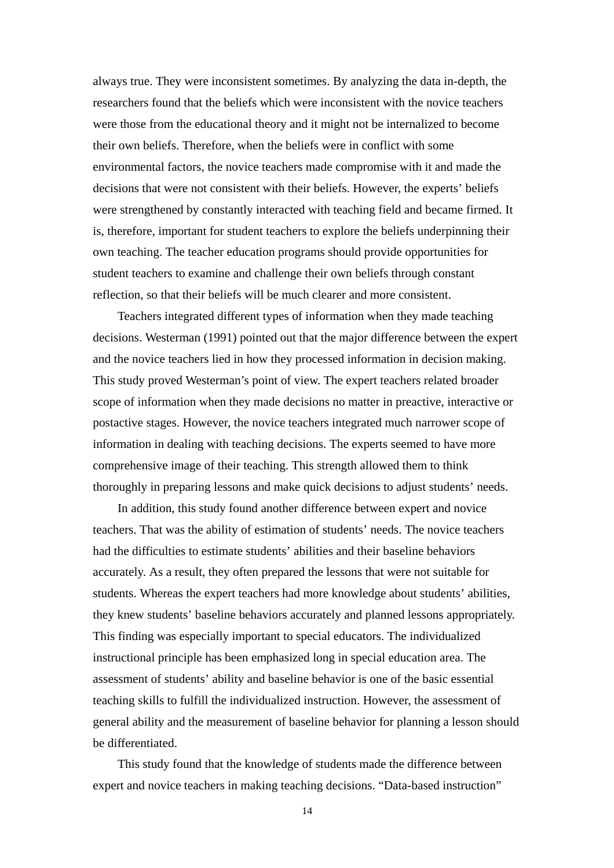always true. They were inconsistent sometimes. By analyzing the data in-depth, the researchers found that the beliefs which were inconsistent with the novice teachers were those from the educational theory and it might not be internalized to become their own beliefs. Therefore, when the beliefs were in conflict with some environmental factors, the novice teachers made compromise with it and made the decisions that were not consistent with their beliefs. However, the experts' beliefs were strengthened by constantly interacted with teaching field and became firmed. It is, therefore, important for student teachers to explore the beliefs underpinning their own teaching. The teacher education programs should provide opportunities for student teachers to examine and challenge their own beliefs through constant reflection, so that their beliefs will be much clearer and more consistent.

Teachers integrated different types of information when they made teaching decisions. Westerman (1991) pointed out that the major difference between the expert and the novice teachers lied in how they processed information in decision making. This study proved Westerman's point of view. The expert teachers related broader scope of information when they made decisions no matter in preactive, interactive or postactive stages. However, the novice teachers integrated much narrower scope of information in dealing with teaching decisions. The experts seemed to have more comprehensive image of their teaching. This strength allowed them to think thoroughly in preparing lessons and make quick decisions to adjust students' needs.

In addition, this study found another difference between expert and novice teachers. That was the ability of estimation of students' needs. The novice teachers had the difficulties to estimate students' abilities and their baseline behaviors accurately. As a result, they often prepared the lessons that were not suitable for students. Whereas the expert teachers had more knowledge about students' abilities, they knew students' baseline behaviors accurately and planned lessons appropriately. This finding was especially important to special educators. The individualized instructional principle has been emphasized long in special education area. The assessment of students' ability and baseline behavior is one of the basic essential teaching skills to fulfill the individualized instruction. However, the assessment of general ability and the measurement of baseline behavior for planning a lesson should be differentiated.

This study found that the knowledge of students made the difference between expert and novice teachers in making teaching decisions. "Data-based instruction"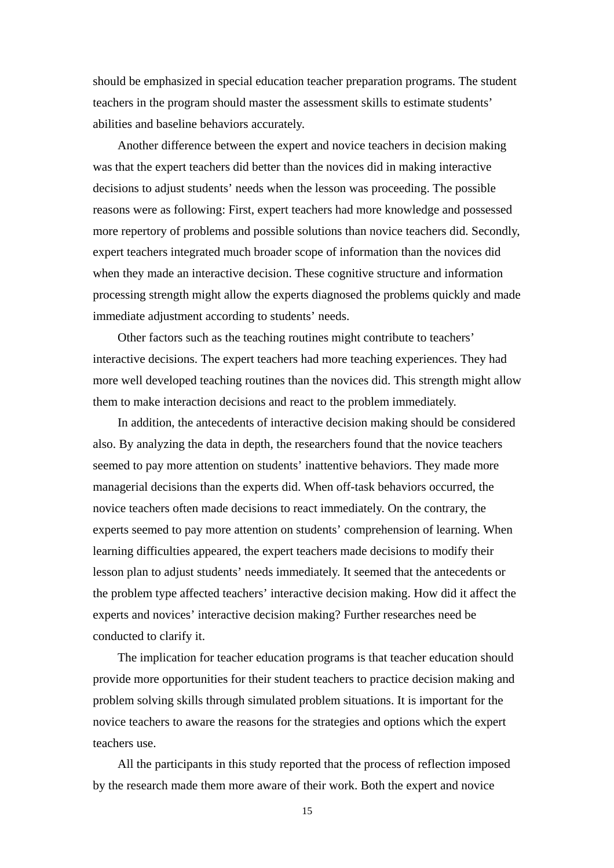should be emphasized in special education teacher preparation programs. The student teachers in the program should master the assessment skills to estimate students' abilities and baseline behaviors accurately.

Another difference between the expert and novice teachers in decision making was that the expert teachers did better than the novices did in making interactive decisions to adjust students' needs when the lesson was proceeding. The possible reasons were as following: First, expert teachers had more knowledge and possessed more repertory of problems and possible solutions than novice teachers did. Secondly, expert teachers integrated much broader scope of information than the novices did when they made an interactive decision. These cognitive structure and information processing strength might allow the experts diagnosed the problems quickly and made immediate adjustment according to students' needs.

Other factors such as the teaching routines might contribute to teachers' interactive decisions. The expert teachers had more teaching experiences. They had more well developed teaching routines than the novices did. This strength might allow them to make interaction decisions and react to the problem immediately.

In addition, the antecedents of interactive decision making should be considered also. By analyzing the data in depth, the researchers found that the novice teachers seemed to pay more attention on students' inattentive behaviors. They made more managerial decisions than the experts did. When off-task behaviors occurred, the novice teachers often made decisions to react immediately. On the contrary, the experts seemed to pay more attention on students' comprehension of learning. When learning difficulties appeared, the expert teachers made decisions to modify their lesson plan to adjust students' needs immediately. It seemed that the antecedents or the problem type affected teachers' interactive decision making. How did it affect the experts and novices' interactive decision making? Further researches need be conducted to clarify it.

The implication for teacher education programs is that teacher education should provide more opportunities for their student teachers to practice decision making and problem solving skills through simulated problem situations. It is important for the novice teachers to aware the reasons for the strategies and options which the expert teachers use.

All the participants in this study reported that the process of reflection imposed by the research made them more aware of their work. Both the expert and novice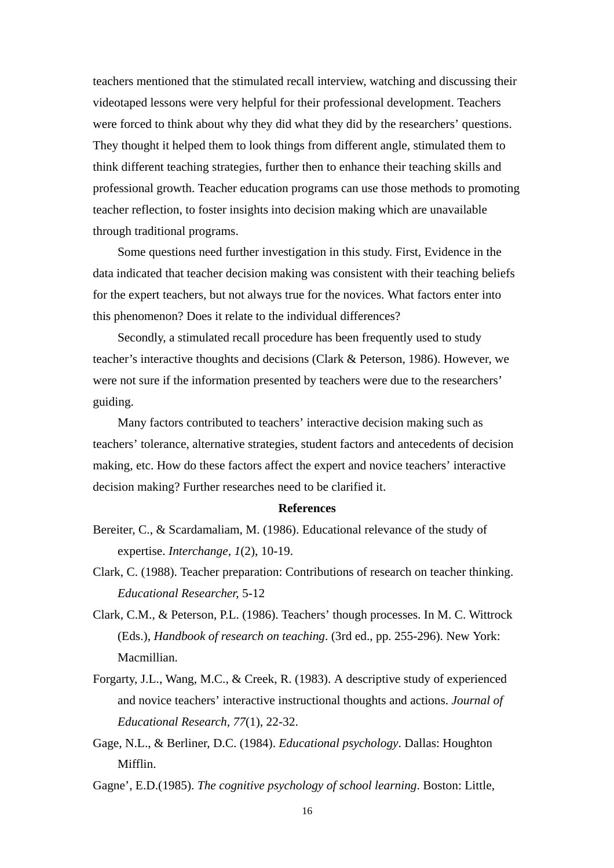teachers mentioned that the stimulated recall interview, watching and discussing their videotaped lessons were very helpful for their professional development. Teachers were forced to think about why they did what they did by the researchers' questions. They thought it helped them to look things from different angle, stimulated them to think different teaching strategies, further then to enhance their teaching skills and professional growth. Teacher education programs can use those methods to promoting teacher reflection, to foster insights into decision making which are unavailable through traditional programs.

Some questions need further investigation in this study. First, Evidence in the data indicated that teacher decision making was consistent with their teaching beliefs for the expert teachers, but not always true for the novices. What factors enter into this phenomenon? Does it relate to the individual differences?

Secondly, a stimulated recall procedure has been frequently used to study teacher's interactive thoughts and decisions (Clark & Peterson, 1986). However, we were not sure if the information presented by teachers were due to the researchers' guiding.

Many factors contributed to teachers' interactive decision making such as teachers' tolerance, alternative strategies, student factors and antecedents of decision making, etc. How do these factors affect the expert and novice teachers' interactive decision making? Further researches need to be clarified it.

#### **References**

- Bereiter, C., & Scardamaliam, M. (1986). Educational relevance of the study of expertise. *Interchange, 1*(2), 10-19.
- Clark, C. (1988). Teacher preparation: Contributions of research on teacher thinking. *Educational Researcher,* 5-12
- Clark, C.M., & Peterson, P.L. (1986). Teachers' though processes. In M. C. Wittrock (Eds.), *Handbook of research on teaching*. (3rd ed., pp. 255-296). New York: Macmillian.
- Forgarty, J.L., Wang, M.C., & Creek, R. (1983). A descriptive study of experienced and novice teachers' interactive instructional thoughts and actions. *Journal of Educational Research, 77*(1), 22-32.
- Gage, N.L., & Berliner, D.C. (1984). *Educational psychology*. Dallas: Houghton Mifflin.

Gagne', E.D.(1985). *The cognitive psychology of school learning*. Boston: Little,